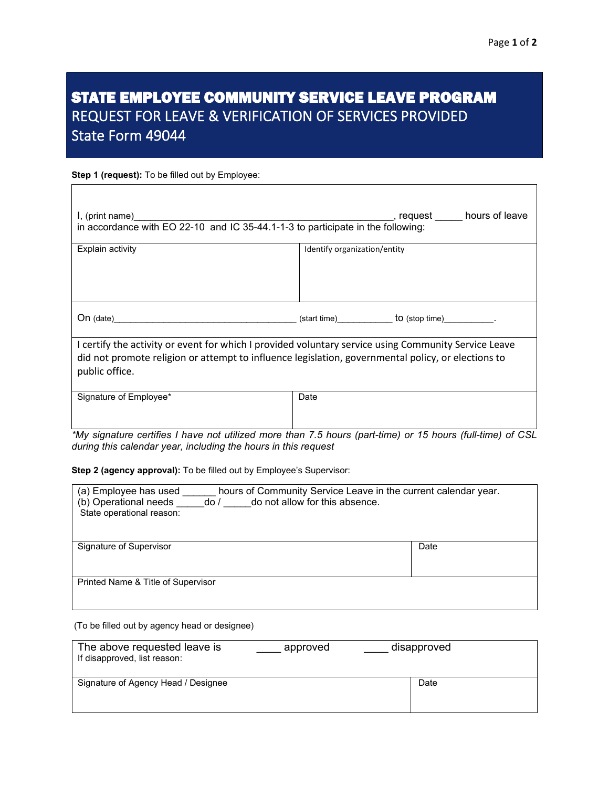## STATE EMPLOYEE COMMUNITY SERVICE LEAVE PROGRAM REQUEST FOR LEAVE & VERIFICATION OF SERVICES PROVIDED State Form 49044

## **Step 1 (request):** To be filled out by Employee:

| I, (print name)<br>in accordance with EO 22-10 and IC 35-44.1-1-3 to participate in the following:                                                                                                                             | _, request _____ hours of leave |  |
|--------------------------------------------------------------------------------------------------------------------------------------------------------------------------------------------------------------------------------|---------------------------------|--|
| Explain activity                                                                                                                                                                                                               | Identify organization/entity    |  |
| On (date) to (stop time) to (stop time) to (stop time) and the contract of the contract of the contract of the contract of the contract of the contract of the contract of the contract of the contract of the contract of the |                                 |  |
| I certify the activity or event for which I provided voluntary service using Community Service Leave<br>did not promote religion or attempt to influence legislation, governmental policy, or elections to<br>public office.   |                                 |  |
| Signature of Employee*                                                                                                                                                                                                         | Date                            |  |

*\*My signature certifies I have not utilized more than 7.5 hours (part-time) or 15 hours (full-time) of CSL during this calendar year, including the hours in this request*

**Step 2 (agency approval):** To be filled out by Employee's Supervisor:

| hours of Community Service Leave in the current calendar year.<br>(a) Employee has used<br>(b) Operational needs<br>do not allow for this absence.<br>do/<br>State operational reason: |      |  |
|----------------------------------------------------------------------------------------------------------------------------------------------------------------------------------------|------|--|
| Signature of Supervisor                                                                                                                                                                | Date |  |
| Printed Name & Title of Supervisor                                                                                                                                                     |      |  |

(To be filled out by agency head or designee)

| The above requested leave is<br>If disapproved, list reason: | approved | disapproved |  |
|--------------------------------------------------------------|----------|-------------|--|
| Signature of Agency Head / Designee                          |          | Date        |  |